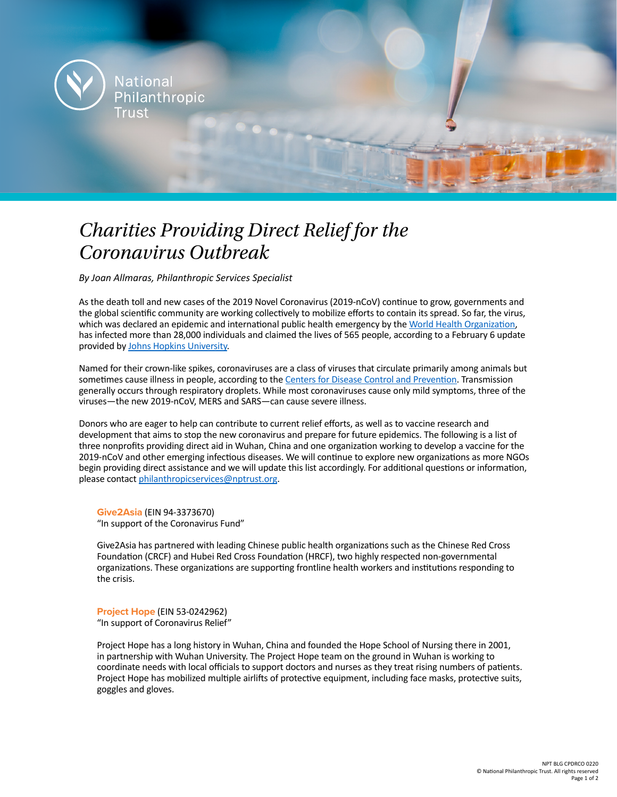

## *Charities Providing Direct Relief for the Coronavirus Outbreak*

*By Joan Allmaras, Philanthropic Services Specialist*

As the death toll and new cases of the 2019 Novel Coronavirus (2019-nCoV) continue to grow, governments and the global scientific community are working collectively to mobilize efforts to contain its spread. So far, the virus, which was declared an epidemic and international public health emergency by the [World Health Organization](https://www.who.int/dg/speeches/detail/who-director-general-s-statement-on-ihr-emergency-committee-on-novel-coronavirus-(2019-ncov)), has infected more than 28,000 individuals and claimed the lives of 565 people, according to a February 6 update provided by [Johns Hopkins University](https://gisanddata.maps.arcgis.com/apps/opsdashboard/index.html#/bda7594740fd40299423467b48e9ecf6).

Named for their crown-like spikes, coronaviruses are a class of viruses that circulate primarily among animals but sometimes cause illness in people, according to the [Centers for Disease Control and Prevention](https://www.cdc.gov/coronavirus/2019-ncov/faq.html#disease-basics). Transmission generally occurs through respiratory droplets. While most coronaviruses cause only mild symptoms, three of the viruses—the new 2019-nCoV, MERS and SARS—can cause severe illness.

Donors who are eager to help can contribute to current relief efforts, as well as to vaccine research and development that aims to stop the new coronavirus and prepare for future epidemics. The following is a list of three nonprofits providing direct aid in Wuhan, China and one organization working to develop a vaccine for the 2019-nCoV and other emerging infectious diseases. We will continue to explore new organizations as more NGOs begin providing direct assistance and we will update this list accordingly. For additional questions or information, please contact [philanthropicservices@nptrust.org](mailto:philanthropicservices%40nptrust.org?subject=).

**[Give2Asia](https://give2asia.org/)** (EIN 94-3373670) "In support of the Coronavirus Fund"

Give2Asia has partnered with leading Chinese public health organizations such as the Chinese Red Cross Foundation (CRCF) and Hubei Red Cross Foundation (HRCF), two highly respected non-governmental organizations. These organizations are supporting frontline health workers and institutions responding to the crisis.

**[Project Hope](https://www.projecthope.org/)** (EIN 53-0242962) "In support of Coronavirus Relief"

Project Hope has a long history in Wuhan, China and founded the Hope School of Nursing there in 2001, in partnership with Wuhan University. The Project Hope team on the ground in Wuhan is working to coordinate needs with local officials to support doctors and nurses as they treat rising numbers of patients. Project Hope has mobilized multiple airlifts of protective equipment, including face masks, protective suits, goggles and gloves.